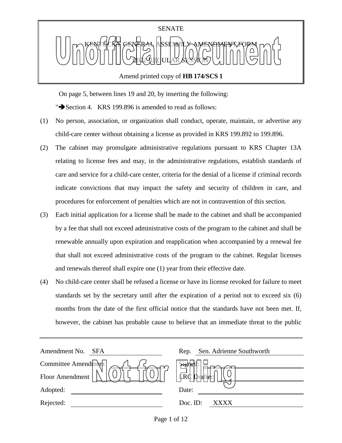

On page 5, between lines 19 and 20, by inserting the following:

" $\blacktriangleright$  Section 4. KRS 199.896 is amended to read as follows:

- (1) No person, association, or organization shall conduct, operate, maintain, or advertise any child-care center without obtaining a license as provided in KRS 199.892 to 199.896.
- (2) The cabinet may promulgate administrative regulations pursuant to KRS Chapter 13A relating to license fees and may, in the administrative regulations, establish standards of care and service for a child-care center, criteria for the denial of a license if criminal records indicate convictions that may impact the safety and security of children in care, and procedures for enforcement of penalties which are not in contravention of this section.
- (3) Each initial application for a license shall be made to the cabinet and shall be accompanied by a fee that shall not exceed administrative costs of the program to the cabinet and shall be renewable annually upon expiration and reapplication when accompanied by a renewal fee that shall not exceed administrative costs of the program to the cabinet. Regular licenses and renewals thereof shall expire one (1) year from their effective date.
- (4) No child-care center shall be refused a license or have its license revoked for failure to meet standards set by the secretary until after the expiration of a period not to exceed six (6) months from the date of the first official notice that the standards have not been met. If, however, the cabinet has probable cause to believe that an immediate threat to the public

| Amendment No.<br><b>SFA</b> | Sen. Adrienne Southworth<br>Rep. |
|-----------------------------|----------------------------------|
| Committee Amendment         | $\frac{1}{2}$                    |
| Floor Amendment             | LRC<br><b>D</b> rafter:          |
| Adopted:                    | Date:                            |
| Rejected:                   | Doc. ID:<br>XXXX                 |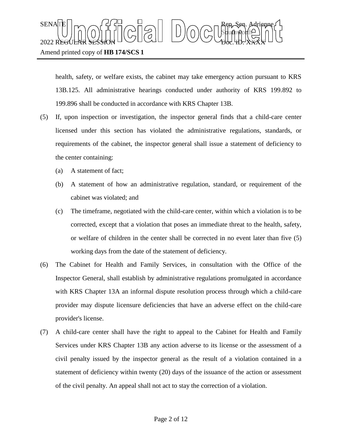health, safety, or welfare exists, the cabinet may take emergency action pursuant to KRS 13B.125. All administrative hearings conducted under authority of KRS 199.892 to 199.896 shall be conducted in accordance with KRS Chapter 13B.

- (5) If, upon inspection or investigation, the inspector general finds that a child-care center licensed under this section has violated the administrative regulations, standards, or requirements of the cabinet, the inspector general shall issue a statement of deficiency to the center containing:
	- (a) A statement of fact;

Amend printed copy of **HB 174/SCS 1**

- (b) A statement of how an administrative regulation, standard, or requirement of the cabinet was violated; and
- (c) The timeframe, negotiated with the child-care center, within which a violation is to be corrected, except that a violation that poses an immediate threat to the health, safety, or welfare of children in the center shall be corrected in no event later than five (5) working days from the date of the statement of deficiency.
- (6) The Cabinet for Health and Family Services, in consultation with the Office of the Inspector General, shall establish by administrative regulations promulgated in accordance with KRS Chapter 13A an informal dispute resolution process through which a child-care provider may dispute licensure deficiencies that have an adverse effect on the child-care provider's license.
- (7) A child-care center shall have the right to appeal to the Cabinet for Health and Family Services under KRS Chapter 13B any action adverse to its license or the assessment of a civil penalty issued by the inspector general as the result of a violation contained in a statement of deficiency within twenty (20) days of the issuance of the action or assessment of the civil penalty. An appeal shall not act to stay the correction of a violation.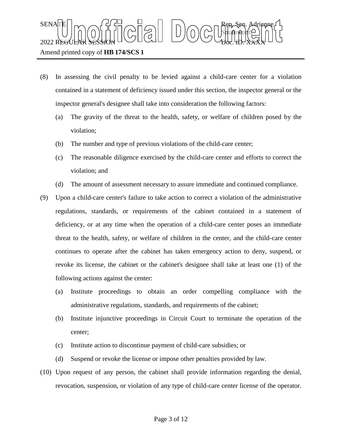$\text{SENA}[\mathbb{E} | \mid_{\mathsf{T}} \frown \bigcap_{\mathsf{S}} \mathsf{G}] \frown \bigcup_{\mathsf{S}} \bigcap_{\mathsf{S}} \bigcap_{\mathsf{S}} \bigcap_{\mathsf{S}} \bigcap_{\mathsf{S}} \bigcap_{\mathsf{S}} \mathsf{G} \mathsf{G} \bigcap_{\mathsf{S}} \mathsf{G} \mathsf{G} \bigcap_{\mathsf{S}} \mathsf{G} \bigcap_{\mathsf{S}} \mathsf{G} \bigcap_{\mathsf{S}} \mathsf{G} \bigcap_{\mathsf{S}} \mathsf{G} \bigcap_{\mathsf{S}} \mathsf{G} \big$ Sbufhworth  $2022$  REGULAR SESSION DOLLOURED DO COURT TO CHARLED.  $\chi_{\rm{H}}$ 

### Amend printed copy of **HB 174/SCS 1**

- (8) In assessing the civil penalty to be levied against a child-care center for a violation contained in a statement of deficiency issued under this section, the inspector general or the inspector general's designee shall take into consideration the following factors:
	- (a) The gravity of the threat to the health, safety, or welfare of children posed by the violation;
	- (b) The number and type of previous violations of the child-care center;
	- (c) The reasonable diligence exercised by the child-care center and efforts to correct the violation; and
	- (d) The amount of assessment necessary to assure immediate and continued compliance.
- (9) Upon a child-care center's failure to take action to correct a violation of the administrative regulations, standards, or requirements of the cabinet contained in a statement of deficiency, or at any time when the operation of a child-care center poses an immediate threat to the health, safety, or welfare of children in the center, and the child-care center continues to operate after the cabinet has taken emergency action to deny, suspend, or revoke its license, the cabinet or the cabinet's designee shall take at least one (1) of the following actions against the center:
	- (a) Institute proceedings to obtain an order compelling compliance with the administrative regulations, standards, and requirements of the cabinet;
	- (b) Institute injunctive proceedings in Circuit Court to terminate the operation of the center;
	- (c) Institute action to discontinue payment of child-care subsidies; or
	- (d) Suspend or revoke the license or impose other penalties provided by law.
- (10) Upon request of any person, the cabinet shall provide information regarding the denial, revocation, suspension, or violation of any type of child-care center license of the operator.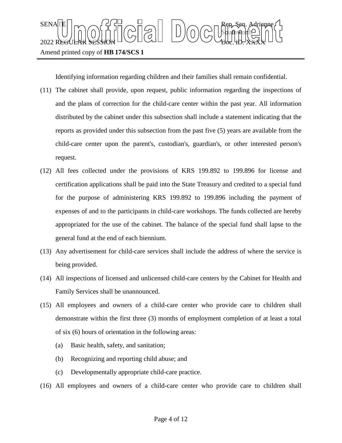

Identifying information regarding children and their families shall remain confidential.

- (11) The cabinet shall provide, upon request, public information regarding the inspections of and the plans of correction for the child-care center within the past year. All information distributed by the cabinet under this subsection shall include a statement indicating that the reports as provided under this subsection from the past five (5) years are available from the child-care center upon the parent's, custodian's, guardian's, or other interested person's request.
- (12) All fees collected under the provisions of KRS 199.892 to 199.896 for license and certification applications shall be paid into the State Treasury and credited to a special fund for the purpose of administering KRS 199.892 to 199.896 including the payment of expenses of and to the participants in child-care workshops. The funds collected are hereby appropriated for the use of the cabinet. The balance of the special fund shall lapse to the general fund at the end of each biennium.
- (13) Any advertisement for child-care services shall include the address of where the service is being provided.
- (14) All inspections of licensed and unlicensed child-care centers by the Cabinet for Health and Family Services shall be unannounced.
- (15) All employees and owners of a child-care center who provide care to children shall demonstrate within the first three (3) months of employment completion of at least a total of six (6) hours of orientation in the following areas:
	- (a) Basic health, safety, and sanitation;
	- (b) Recognizing and reporting child abuse; and
	- (c) Developmentally appropriate child-care practice.
- (16) All employees and owners of a child-care center who provide care to children shall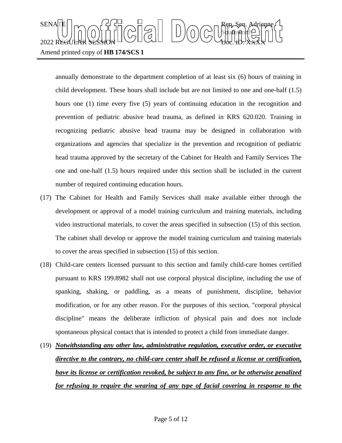# $\text{SENA}[\mathbb{E} | \mid_{\mathsf{T}} \frown \bigcap_{\mathsf{S}} \mathsf{G}] \frown \bigcup_{\mathsf{S}} \bigcap_{\mathsf{S}} \bigcap_{\mathsf{S}} \bigcap_{\mathsf{S}} \bigcap_{\mathsf{S}} \bigcap_{\mathsf{S}} \mathsf{G} \mathsf{G} \bigcap_{\mathsf{S}} \mathsf{G} \mathsf{G} \bigcap_{\mathsf{S}} \mathsf{G} \bigcap_{\mathsf{S}} \mathsf{G} \bigcap_{\mathsf{S}} \mathsf{G} \bigcap_{\mathsf{S}} \mathsf{G} \bigcap_{\mathsf{S}} \mathsf{G} \big$ Sbufhworth  $2022$  REGULAR SESSION DOLLOURED DO COURT TO CHARLED.  $\chi_{\rm{H}}$ Amend printed copy of **HB 174/SCS 1**

annually demonstrate to the department completion of at least six (6) hours of training in child development. These hours shall include but are not limited to one and one-half (1.5) hours one (1) time every five (5) years of continuing education in the recognition and prevention of pediatric abusive head trauma, as defined in KRS 620.020. Training in recognizing pediatric abusive head trauma may be designed in collaboration with organizations and agencies that specialize in the prevention and recognition of pediatric head trauma approved by the secretary of the Cabinet for Health and Family Services The one and one-half (1.5) hours required under this section shall be included in the current number of required continuing education hours.

- (17) The Cabinet for Health and Family Services shall make available either through the development or approval of a model training curriculum and training materials, including video instructional materials, to cover the areas specified in subsection (15) of this section. The cabinet shall develop or approve the model training curriculum and training materials to cover the areas specified in subsection (15) of this section.
- (18) Child-care centers licensed pursuant to this section and family child-care homes certified pursuant to KRS 199.8982 shall not use corporal physical discipline, including the use of spanking, shaking, or paddling, as a means of punishment, discipline, behavior modification, or for any other reason. For the purposes of this section, "corporal physical discipline" means the deliberate infliction of physical pain and does not include spontaneous physical contact that is intended to protect a child from immediate danger.
- (19) *Notwithstanding any other law, administrative regulation, executive order, or executive directive to the contrary, no child-care center shall be refused a license or certification, have its license or certification revoked, be subject to any fine, or be otherwise penalized for refusing to require the wearing of any type of facial covering in response to the*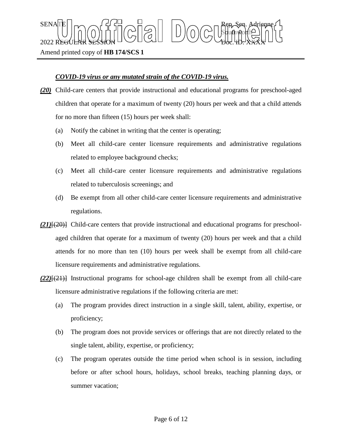## *COVID-19 virus or any mutated strain of the COVID-19 virus.*

 $\text{SENA}[\mathbb{E} | \mid_{\mathsf{T}} \frown \bigcap_{\mathsf{S}} \mathsf{G}] \frown \bigcup_{\mathsf{S}} \bigcap_{\mathsf{S}} \bigcap_{\mathsf{S}} \bigcap_{\mathsf{S}} \bigcap_{\mathsf{S}} \bigcap_{\mathsf{S}} \mathsf{G} \mathsf{G} \bigcap_{\mathsf{S}} \mathsf{G} \mathsf{G} \bigcap_{\mathsf{S}} \mathsf{G} \bigcap_{\mathsf{S}} \mathsf{G} \bigcap_{\mathsf{S}} \mathsf{G} \bigcap_{\mathsf{S}} \mathsf{G} \bigcap_{\mathsf{S}} \mathsf{G} \big$ 

 $2022$  REGULAR SESSION DOLLOURED DO COURT TO CHARLED.  $\chi_{\rm{H}}$ 

*(20)* Child-care centers that provide instructional and educational programs for preschool-aged children that operate for a maximum of twenty (20) hours per week and that a child attends for no more than fifteen (15) hours per week shall:

Sbufhworth

- (a) Notify the cabinet in writing that the center is operating;
- (b) Meet all child-care center licensure requirements and administrative regulations related to employee background checks;
- (c) Meet all child-care center licensure requirements and administrative regulations related to tuberculosis screenings; and
- (d) Be exempt from all other child-care center licensure requirements and administrative regulations.
- *(21)*[(20)] Child-care centers that provide instructional and educational programs for preschoolaged children that operate for a maximum of twenty (20) hours per week and that a child attends for no more than ten (10) hours per week shall be exempt from all child-care licensure requirements and administrative regulations.
- *(22)*[(21)] Instructional programs for school-age children shall be exempt from all child-care licensure administrative regulations if the following criteria are met:
	- (a) The program provides direct instruction in a single skill, talent, ability, expertise, or proficiency;
	- (b) The program does not provide services or offerings that are not directly related to the single talent, ability, expertise, or proficiency;
	- (c) The program operates outside the time period when school is in session, including before or after school hours, holidays, school breaks, teaching planning days, or summer vacation;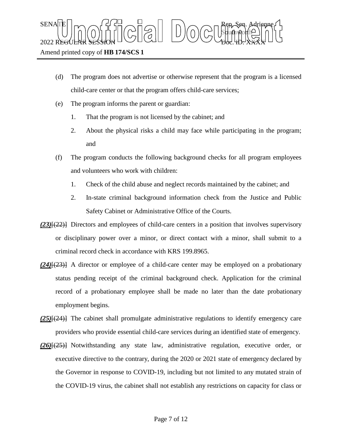- (d) The program does not advertise or otherwise represent that the program is a licensed child-care center or that the program offers child-care services;
- (e) The program informs the parent or guardian:
	- 1. That the program is not licensed by the cabinet; and
	- 2. About the physical risks a child may face while participating in the program; and
- (f) The program conducts the following background checks for all program employees and volunteers who work with children:
	- 1. Check of the child abuse and neglect records maintained by the cabinet; and
	- 2. In-state criminal background information check from the Justice and Public Safety Cabinet or Administrative Office of the Courts.
- *(23)*[(22)] Directors and employees of child-care centers in a position that involves supervisory or disciplinary power over a minor, or direct contact with a minor, shall submit to a criminal record check in accordance with KRS 199.8965.
- *(24)*[(23)] A director or employee of a child-care center may be employed on a probationary status pending receipt of the criminal background check. Application for the criminal record of a probationary employee shall be made no later than the date probationary employment begins.
- *(25)*[(24)] The cabinet shall promulgate administrative regulations to identify emergency care providers who provide essential child-care services during an identified state of emergency.
- *(26)*[(25)] Notwithstanding any state law, administrative regulation, executive order, or executive directive to the contrary, during the 2020 or 2021 state of emergency declared by the Governor in response to COVID-19, including but not limited to any mutated strain of the COVID-19 virus, the cabinet shall not establish any restrictions on capacity for class or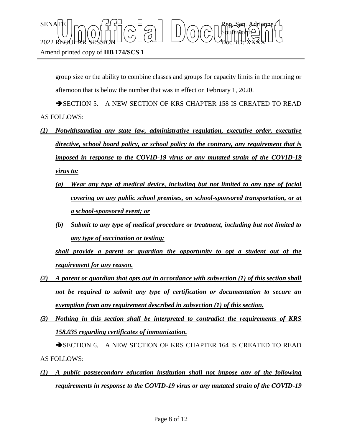group size or the ability to combine classes and groups for capacity limits in the morning or afternoon that is below the number that was in effect on February 1, 2020.

SECTION 5. A NEW SECTION OF KRS CHAPTER 158 IS CREATED TO READ AS FOLLOWS:

- *(1) Notwithstanding any state law, administrative regulation, executive order, executive directive, school board policy, or school policy to the contrary, any requirement that is imposed in response to the COVID-19 virus or any mutated strain of the COVID-19 virus to:*
	- *(a) Wear any type of medical device, including but not limited to any type of facial covering on any public school premises, on school-sponsored transportation, or at a school-sponsored event; or*
	- *(b) Submit to any type of medical procedure or treatment, including but not limited to any type of vaccination or testing;*

*shall provide a parent or guardian the opportunity to opt a student out of the requirement for any reason.*

- *(2) A parent or guardian that opts out in accordance with subsection (1) of this section shall not be required to submit any type of certification or documentation to secure an exemption from any requirement described in subsection (1) of this section.*
- *(3) Nothing in this section shall be interpreted to contradict the requirements of KRS 158.035 regarding certificates of immunization.*

SECTION 6. A NEW SECTION OF KRS CHAPTER 164 IS CREATED TO READ AS FOLLOWS:

*(1) A public postsecondary education institution shall not impose any of the following requirements in response to the COVID-19 virus or any mutated strain of the COVID-19*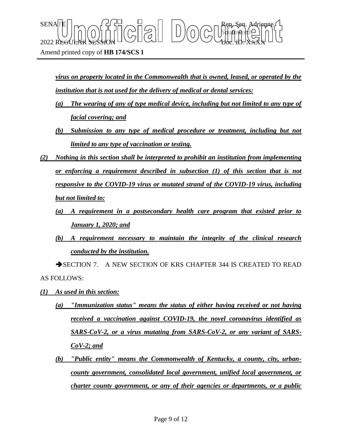*virus on property located in the Commonwealth that is owned, leased, or operated by the institution that is not used for the delivery of medical or dental services:*

Sbufhworth

 $\text{SENA}[\mathbb{E} | \mid_{\mathsf{T}} \frown \bigcap_{\mathsf{S}} \mathsf{G}] \frown \bigcup_{\mathsf{S}} \bigcap_{\mathsf{S}} \bigcap_{\mathsf{S}} \bigcap_{\mathsf{S}} \bigcap_{\mathsf{S}} \bigcap_{\mathsf{S}} \mathsf{G} \mathsf{G} \bigcap_{\mathsf{S}} \mathsf{G} \mathsf{G} \bigcap_{\mathsf{S}} \mathsf{G} \bigcap_{\mathsf{S}} \mathsf{G} \bigcap_{\mathsf{S}} \mathsf{G} \bigcap_{\mathsf{S}} \mathsf{G} \bigcap_{\mathsf{S}} \mathsf{G} \big$ 

 $2022$  REGULAR SESSION DOLLOURED DO COURT TO CHARLED.  $\chi_{\rm{H}}$ 

- *(a) The wearing of any of type medical device, including but not limited to any type of facial covering; and*
- *(b) Submission to any type of medical procedure or treatment, including but not limited to any type of vaccination or testing.*
- *(2) Nothing in this section shall be interpreted to prohibit an institution from implementing or enforcing a requirement described in subsection (1) of this section that is not responsive to the COVID-19 virus or mutated strand of the COVID-19 virus, including but not limited to:*
	- *(a) A requirement in a postsecondary health care program that existed prior to January 1, 2020; and*
	- *(b) A requirement necessary to maintain the integrity of the clinical research conducted by the institution.*

SECTION 7. A NEW SECTION OF KRS CHAPTER 344 IS CREATED TO READ AS FOLLOWS:

- *(1) As used in this section:*
	- *(a) "Immunization status" means the status of either having received or not having received a vaccination against COVID-19, the novel coronavirus identified as SARS-CoV-2, or a virus mutating from SARS-CoV-2, or any variant of SARS-CoV-2; and*
	- *(b) "Public entity" means the Commonwealth of Kentucky, a county, city, urbancounty government, consolidated local government, unified local government, or charter county government, or any of their agencies or departments, or a public*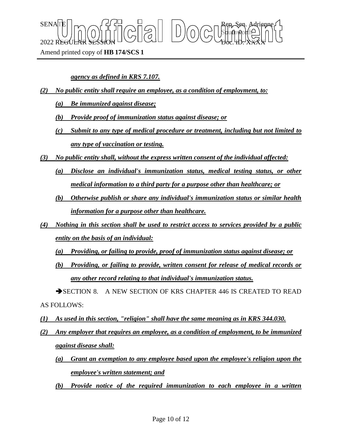$\text{SENA}[\mathbb{E} | \mid_{\mathsf{T}} \frown \bigcap_{\mathsf{S}} \mathsf{G}] \frown \bigcup_{\mathsf{S}} \bigcap_{\mathsf{S}} \bigcap_{\mathsf{S}} \bigcap_{\mathsf{S}} \bigcap_{\mathsf{S}} \bigcap_{\mathsf{S}} \mathsf{G} \mathsf{G} \bigcap_{\mathsf{S}} \mathsf{G} \mathsf{G} \bigcap_{\mathsf{S}} \mathsf{G} \bigcap_{\mathsf{S}} \mathsf{G} \bigcap_{\mathsf{S}} \mathsf{G} \bigcap_{\mathsf{S}} \mathsf{G} \bigcap_{\mathsf{S}} \mathsf{G} \big$ Sbufhworth  $2022$  REGULAR SESSION DOLLOURED DO COURT TO CHARLED.  $\chi_{\rm{H}}$ 

Amend printed copy of **HB 174/SCS 1**

*agency as defined in KRS 7.107.*

- *(2) No public entity shall require an employee, as a condition of employment, to:*
	- *(a) Be immunized against disease;*
	- *(b) Provide proof of immunization status against disease; or*
	- *(c) Submit to any type of medical procedure or treatment, including but not limited to any type of vaccination or testing.*
- *(3) No public entity shall, without the express written consent of the individual affected:*
	- *(a) Disclose an individual's immunization status, medical testing status, or other medical information to a third party for a purpose other than healthcare; or*
	- *(b) Otherwise publish or share any individual's immunization status or similar health information for a purpose other than healthcare.*
- *(4) Nothing in this section shall be used to restrict access to services provided by a public entity on the basis of an individual:*
	- *(a) Providing, or failing to provide, proof of immunization status against disease; or*
	- *(b) Providing, or failing to provide, written consent for release of medical records or any other record relating to that individual's immunization status.*

SECTION 8. A NEW SECTION OF KRS CHAPTER 446 IS CREATED TO READ AS FOLLOWS:

- *(1) As used in this section, "religion" shall have the same meaning as in KRS 344.030.*
- *(2) Any employer that requires an employee, as a condition of employment, to be immunized against disease shall:*
	- *(a) Grant an exemption to any employee based upon the employee's religion upon the employee's written statement; and*
	- *(b) Provide notice of the required immunization to each employee in a written*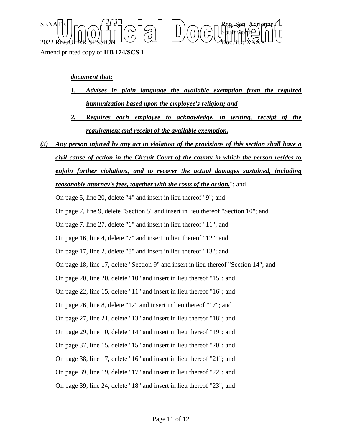### *document that:*

- *1. Advises in plain language the available exemption from the required immunization based upon the employee's religion; and*
- *2. Requires each employee to acknowledge, in writing, receipt of the requirement and receipt of the available exemption.*
- *(3) Any person injured by any act in violation of the provisions of this section shall have a civil cause of action in the Circuit Court of the county in which the person resides to enjoin further violations, and to recover the actual damages sustained, including reasonable attorney's fees, together with the costs of the action.*"; and

On page 5, line 20, delete "4" and insert in lieu thereof "9"; and

On page 7, line 9, delete "Section 5" and insert in lieu thereof "Section 10"; and

On page 7, line 27, delete "6" and insert in lieu thereof "11"; and

On page 16, line 4, delete "7" and insert in lieu thereof "12"; and

On page 17, line 2, delete "8" and insert in lieu thereof "13"; and

On page 18, line 17, delete "Section 9" and insert in lieu thereof "Section 14"; and

On page 20, line 20, delete "10" and insert in lieu thereof "15"; and

On page 22, line 15, delete "11" and insert in lieu thereof "16"; and

On page 26, line 8, delete "12" and insert in lieu thereof "17"; and

On page 27, line 21, delete "13" and insert in lieu thereof "18"; and

On page 29, line 10, delete "14" and insert in lieu thereof "19"; and

On page 37, line 15, delete "15" and insert in lieu thereof "20"; and

On page 38, line 17, delete "16" and insert in lieu thereof "21"; and

On page 39, line 19, delete "17" and insert in lieu thereof "22"; and

On page 39, line 24, delete "18" and insert in lieu thereof "23"; and